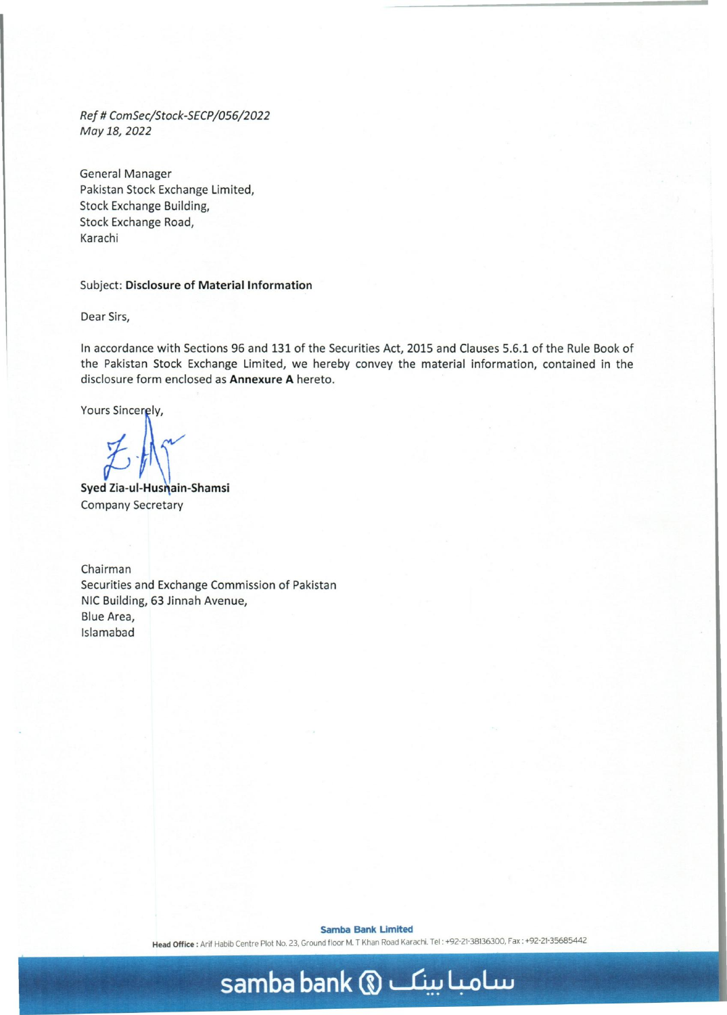*Ref* # *ComSec/Stock-SECP/056/2022 May 18,2022* 

General Manager Pakistan Stock Exchange Limited, Stock Exchange Building, Stock Exchange Road, Karachi

#### Subject: **Disclosure of** Material Information

Dear Sirs,

In accordance with Sections 96 and 131 of the Securities Act, 2015 and Clauses 5.6.1 of the Rule Book of the Pakistan Stock Exchange Limited, we hereby convey the material information, contained in the disclosure form enclosed as **Annexure** A hereto.

Yours Sincerely,

Syed Zia-ul-Husmain-Shamsi Company Secretary

Chairman Securities and Exchange Commission of Pakistan NIC Building, 63 Jinnah Avenue, Blue Area, Islamabad

**Samba Bank Limited** 

Head Office: Arif Habib Centre Plot No. 23, Ground floor M. T Khan Road Karachi. Tel: +92-21-38136300, Fax: +92-21-35685442

## **samba bank (i) ~ 4oL..u**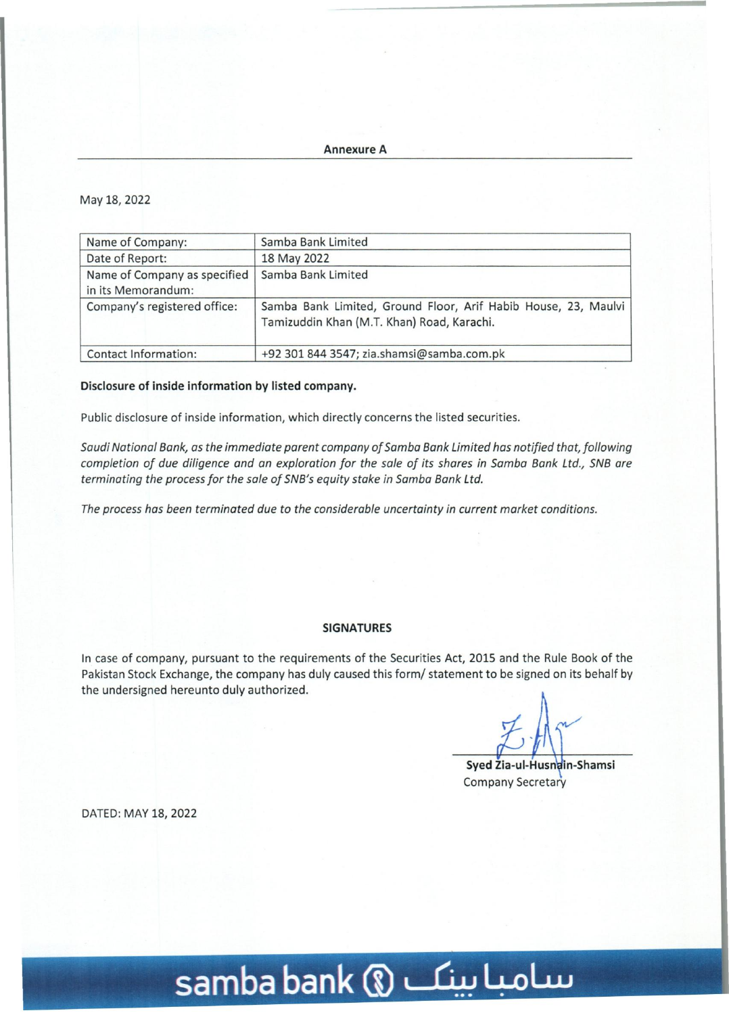Annexure A

### May 18, 2022

| Name of Company:                                   | Samba Bank Limited                                                                                           |
|----------------------------------------------------|--------------------------------------------------------------------------------------------------------------|
| Date of Report:                                    | 18 May 2022                                                                                                  |
| Name of Company as specified<br>in its Memorandum: | Samba Bank Limited                                                                                           |
| Company's registered office:                       | Samba Bank Limited, Ground Floor, Arif Habib House, 23, Maulvi<br>Tamizuddin Khan (M.T. Khan) Road, Karachi. |
| Contact Information:                               | +92 301 844 3547; zia.shamsi@samba.com.pk                                                                    |

### Disclosure of inside information by listed company.

Public disclosure of inside information, which directly concerns the listed securities.

*Saudi National Bank, as the immediate parent company of Samba Bank Limited has notified that, following completion of due diligence and an exploration for the sale of its shares in Samba Bank Ltd., SNB are terminating the process for the sale of SNB's equity stake in Samba Bank Ltd.* 

*The process has been terminated due* to *the considerable uncertainty in current market conditions.* 

#### **SIGNATURES**

In case of company, pursuant to the requirements of the Securities Act, 2015 and the Rule Book of the Pakistan Stock Exchange, the company has duly caused this form/ statement to be signed on its behalf by the undersigned hereunto duly authorized.

Syed Zia-ul-Husnain-Shamsi Company Secretary

DATED: MAY 18, 2022

# **samba bank m ~ 4-oLw**